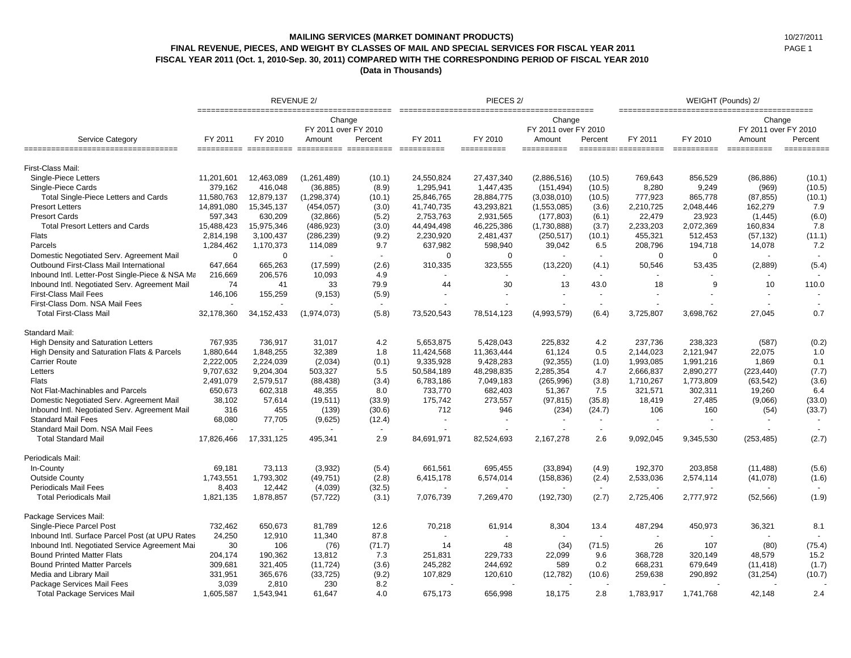## **MAILING SERVICES (MARKET DOMINANT PRODUCTS)** 10/27/2011 **FINAL REVENUE, PIECES, AND WEIGHT BY CLASSES OF MAIL AND SPECIAL SERVICES FOR FISCAL YEAR 2011** PAGE 1 **FISCAL YEAR 2011 (Oct. 1, 2010-Sep. 30, 2011) COMPARED WITH THE CORRESPONDING PERIOD OF FISCAL YEAR 2010**

**(Data in Thousands)**

|                                                 |             |             | <b>REVENUE 2/</b>                        |                |             | PIECES <sub>2</sub> / |                                          | WEIGHT (Pounds) 2/ |                      |             |                                          |         |  |
|-------------------------------------------------|-------------|-------------|------------------------------------------|----------------|-------------|-----------------------|------------------------------------------|--------------------|----------------------|-------------|------------------------------------------|---------|--|
| Service Category                                | FY 2011     | FY 2010     | Change<br>FY 2011 over FY 2010<br>Amount | Percent        | FY 2011     | FY 2010               | Change<br>FY 2011 over FY 2010<br>Amount | Percent            | FY 2011              | FY 2010     | Change<br>FY 2011 over FY 2010<br>Amount | Percent |  |
| =================================               |             |             |                                          |                | ==========  | ==========            | ==========                               |                    | ========= ========== | ==========  |                                          | $=$     |  |
| First-Class Mail:                               |             |             |                                          |                |             |                       |                                          |                    |                      |             |                                          |         |  |
| Single-Piece Letters                            | 11,201,601  | 12,463,089  | (1, 261, 489)                            | (10.1)         | 24,550,824  | 27,437,340            | (2,886,516)                              | (10.5)             | 769,643              | 856,529     | (86, 886)                                | (10.1)  |  |
| Single-Piece Cards                              | 379,162     | 416,048     | (36, 885)                                | (8.9)          | 1,295,941   | 1,447,435             | (151, 494)                               | (10.5)             | 8,280                | 9,249       | (969)                                    | (10.5)  |  |
| Total Single-Piece Letters and Cards            | 11,580,763  | 12,879,137  | (1, 298, 374)                            | (10.1)         | 25,846,765  | 28,884,775            | (3,038,010)                              | (10.5)             | 777,923              | 865,778     | (87, 855)                                | (10.1)  |  |
| <b>Presort Letters</b>                          | 14,891,080  | 15,345,137  | (454, 057)                               | (3.0)          | 41,740,735  | 43,293,821            | (1,553,085)                              | (3.6)              | 2,210,725            | 2,048,446   | 162,279                                  | 7.9     |  |
| <b>Presort Cards</b>                            | 597,343     | 630,209     | (32, 866)                                | (5.2)          | 2,753,763   | 2,931,565             | (177, 803)                               | (6.1)              | 22,479               | 23,923      | (1, 445)                                 | (6.0)   |  |
| <b>Total Presort Letters and Cards</b>          | 15,488,423  | 15,975,346  | (486, 923)                               | (3.0)          | 44,494,498  | 46,225,386            | (1,730,888)                              | (3.7)              | 2,233,203            | 2,072,369   | 160,834                                  | 7.8     |  |
| Flats                                           | 2,814,198   | 3,100,437   | (286, 239)                               | (9.2)          | 2,230,920   | 2,481,437             | (250, 517)                               | (10.1)             | 455,321              | 512,453     | (57, 132)                                | (11.1)  |  |
| Parcels                                         | 1,284,462   | 1,170,373   | 114,089                                  | 9.7            | 637,982     | 598,940               | 39,042                                   | 6.5                | 208,796              | 194,718     | 14,078                                   | 7.2     |  |
| Domestic Negotiated Serv. Agreement Mail        | $\mathbf 0$ | $\mathbf 0$ |                                          | $\overline{a}$ | $\mathbf 0$ | $\mathbf 0$           |                                          |                    | $\mathbf 0$          | $\mathbf 0$ |                                          |         |  |
| Outbound First-Class Mail International         | 647,664     | 665,263     | (17, 599)                                | (2.6)          | 310,335     | 323,555               | (13, 220)                                | (4.1)              | 50,546               | 53,435      | (2,889)                                  | (5.4)   |  |
| Inbound Intl. Letter-Post Single-Piece & NSA Ma | 216,669     | 206,576     | 10,093                                   | 4.9            |             |                       |                                          |                    |                      |             |                                          |         |  |
| Inbound Intl. Negotiated Serv. Agreement Mail   | 74          | 41          | 33                                       | 79.9           | 44          | 30                    | 13                                       | 43.0               | 18                   | 9           | 10                                       | 110.0   |  |
| <b>First-Class Mail Fees</b>                    | 146,106     | 155,259     | (9, 153)                                 | (5.9)          |             |                       |                                          |                    |                      |             |                                          |         |  |
| First-Class Dom. NSA Mail Fees                  |             |             |                                          | $\blacksquare$ |             |                       |                                          | $\sim$             |                      |             |                                          |         |  |
| <b>Total First-Class Mail</b>                   | 32,178,360  | 34,152,433  | (1,974,073)                              | (5.8)          | 73,520,543  | 78,514,123            | (4,993,579)                              | (6.4)              | 3,725,807            | 3,698,762   | 27,045                                   | 0.7     |  |
| Standard Mail:                                  |             |             |                                          |                |             |                       |                                          |                    |                      |             |                                          |         |  |
| <b>High Density and Saturation Letters</b>      | 767.935     | 736.917     | 31.017                                   | 4.2            | 5.653.875   | 5,428,043             | 225.832                                  | 4.2                | 237.736              | 238.323     | (587)                                    | (0.2)   |  |
| High Density and Saturation Flats & Parcels     | 1,880,644   | 1,848,255   | 32,389                                   | 1.8            | 11,424,568  | 11,363,444            | 61,124                                   | 0.5                | 2,144,023            | 2,121,947   | 22,075                                   | 1.0     |  |
| <b>Carrier Route</b>                            | 2,222,005   | 2,224,039   | (2,034)                                  | (0.1)          | 9,335,928   | 9,428,283             | (92, 355)                                | (1.0)              | 1,993,085            | 1,991,216   | 1,869                                    | 0.1     |  |
| Letters                                         | 9,707,632   | 9,204,304   | 503,327                                  | 5.5            | 50,584,189  | 48,298,835            | 2,285,354                                | 4.7                | 2,666,837            | 2,890,277   | (223, 440)                               | (7.7)   |  |
| Flats                                           | 2,491,079   | 2,579,517   | (88, 438)                                | (3.4)          | 6,783,186   | 7,049,183             | (265, 996)                               | (3.8)              | 1,710,267            | 1,773,809   | (63, 542)                                | (3.6)   |  |
| Not Flat-Machinables and Parcels                | 650,673     | 602,318     | 48,355                                   | 8.0            | 733,770     | 682,403               | 51,367                                   | 7.5                | 321,571              | 302,311     | 19,260                                   | 6.4     |  |
| Domestic Negotiated Serv. Agreement Mail        | 38,102      | 57,614      | (19, 511)                                | (33.9)         | 175,742     | 273,557               | (97, 815)                                | (35.8)             | 18,419               | 27,485      | (9,066)                                  | (33.0)  |  |
| Inbound Intl. Negotiated Serv. Agreement Mail   | 316         | 455         | (139)                                    | (30.6)         | 712         | 946                   | (234)                                    | (24.7)             | 106                  | 160         | (54)                                     | (33.7)  |  |
| <b>Standard Mail Fees</b>                       | 68,080      | 77,705      | (9,625)                                  | (12.4)         |             |                       |                                          |                    |                      |             |                                          |         |  |
| Standard Mail Dom. NSA Mail Fees                |             |             |                                          | $\blacksquare$ |             |                       |                                          |                    |                      |             |                                          |         |  |
| <b>Total Standard Mail</b>                      | 17,826,466  | 17,331,125  | 495,341                                  | 2.9            | 84,691,971  | 82,524,693            | 2,167,278                                | 2.6                | 9,092,045            | 9,345,530   | (253, 485)                               | (2.7)   |  |
| Periodicals Mail:                               |             |             |                                          |                |             |                       |                                          |                    |                      |             |                                          |         |  |
| In-County                                       | 69,181      | 73,113      | (3,932)                                  | (5.4)          | 661,561     | 695,455               | (33, 894)                                | (4.9)              | 192,370              | 203,858     | (11, 488)                                | (5.6)   |  |
| <b>Outside County</b>                           | 1,743,551   | 1,793,302   | (49, 751)                                | (2.8)          | 6,415,178   | 6,574,014             | (158, 836)                               | (2.4)              | 2,533,036            | 2,574,114   | (41,078)                                 | (1.6)   |  |
| <b>Periodicals Mail Fees</b>                    | 8,403       | 12,442      | (4,039)                                  | (32.5)         |             |                       |                                          |                    |                      |             |                                          |         |  |
| <b>Total Periodicals Mail</b>                   | 1,821,135   | 1,878,857   | (57, 722)                                | (3.1)          | 7,076,739   | 7,269,470             | (192, 730)                               | (2.7)              | 2,725,406            | 2,777,972   | (52, 566)                                | (1.9)   |  |
| Package Services Mail:                          |             |             |                                          |                |             |                       |                                          |                    |                      |             |                                          |         |  |
| Single-Piece Parcel Post                        | 732,462     | 650,673     | 81,789                                   | 12.6           | 70,218      | 61,914                | 8,304                                    | 13.4               | 487,294              | 450,973     | 36,321                                   | 8.1     |  |
| Inbound Intl. Surface Parcel Post (at UPU Rates | 24,250      | 12,910      | 11,340                                   | 87.8           |             |                       |                                          |                    |                      |             |                                          |         |  |
| Inbound Intl. Negotiated Service Agreement Mai  | 30          | 106         | (76)                                     | (71.7)         | 14          | 48                    | (34)                                     | (71.5)             | 26                   | 107         | (80)                                     | (75.4)  |  |
| <b>Bound Printed Matter Flats</b>               | 204,174     | 190,362     | 13,812                                   | 7.3            | 251,831     | 229,733               | 22,099                                   | 9.6                | 368,728              | 320,149     | 48,579                                   | 15.2    |  |
| <b>Bound Printed Matter Parcels</b>             | 309,681     | 321,405     | (11, 724)                                | (3.6)          | 245,282     | 244,692               | 589                                      | 0.2                | 668,231              | 679,649     | (11, 418)                                | (1.7)   |  |
| Media and Library Mail                          | 331,951     | 365,676     | (33, 725)                                | (9.2)          | 107,829     | 120,610               | (12, 782)                                | (10.6)             | 259,638              | 290,892     | (31, 254)                                | (10.7)  |  |
| Package Services Mail Fees                      | 3.039       | 2,810       | 230                                      | 8.2            |             |                       |                                          |                    |                      |             |                                          |         |  |
| <b>Total Package Services Mail</b>              | 1,605,587   | 1,543,941   | 61.647                                   | 4.0            | 675.173     | 656,998               | 18,175                                   | 2.8                | 1,783,917            | 1.741.768   | 42.148                                   | 2.4     |  |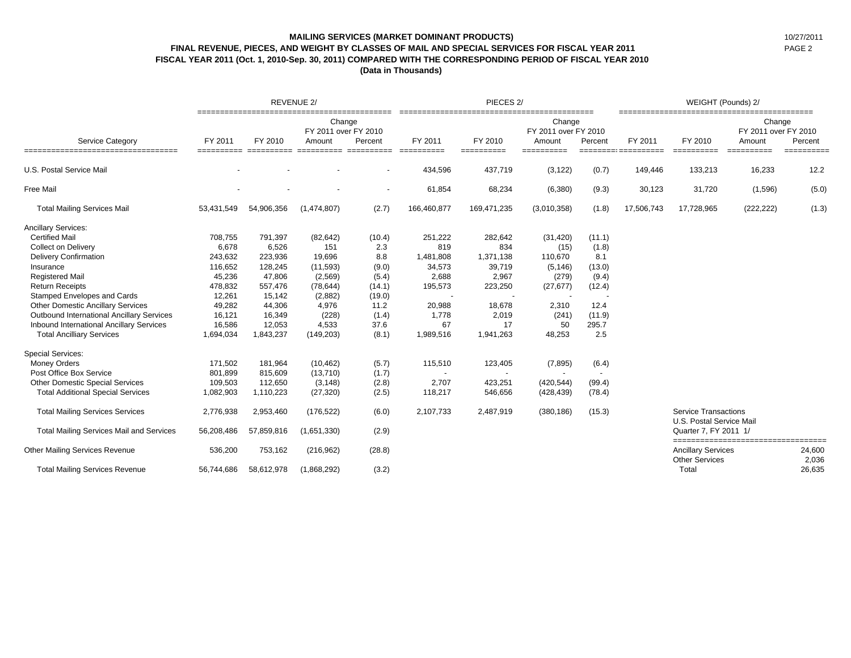# **MAILING SERVICES (MARKET DOMINANT PRODUCTS)** 10/27/2011 **FINAL REVENUE, PIECES, AND WEIGHT BY CLASSES OF MAIL AND SPECIAL SERVICES FOR FISCAL YEAR 2011** PAGE 2 **FISCAL YEAR 2011 (Oct. 1, 2010-Sep. 30, 2011) COMPARED WITH THE CORRESPONDING PERIOD OF FISCAL YEAR 2010**

**(Data in Thousands)**

| <b>Service Category</b>                          |            |            | REVENUE 2/                               |                          |             | PIECES <sub>2</sub> / |                          | WEIGHT (Pounds) 2/                        |            |                                                         |                                          |                 |
|--------------------------------------------------|------------|------------|------------------------------------------|--------------------------|-------------|-----------------------|--------------------------|-------------------------------------------|------------|---------------------------------------------------------|------------------------------------------|-----------------|
|                                                  | FY 2011    | FY 2010    | Change<br>FY 2011 over FY 2010<br>Amount | Percent                  | FY 2011     | FY 2010               |                          | Change<br>FY 2011 over FY 2010<br>Percent | FY 2011    | FY 2010                                                 | Change<br>FY 2011 over FY 2010<br>Amount | Percent         |
|                                                  |            |            |                                          |                          |             | ----------            | Amount                   |                                           |            |                                                         |                                          |                 |
| U.S. Postal Service Mail                         |            |            |                                          |                          | 434,596     | 437,719               | (3, 122)                 | (0.7)                                     | 149,446    | 133,213                                                 | 16,233                                   | 12.2            |
| <b>Free Mail</b>                                 |            |            |                                          | $\overline{\phantom{a}}$ | 61,854      | 68,234                | (6,380)                  | (9.3)                                     | 30,123     | 31,720                                                  | (1,596)                                  | (5.0)           |
| <b>Total Mailing Services Mail</b>               | 53,431,549 | 54,906,356 | (1,474,807)                              | (2.7)                    | 166,460,877 | 169,471,235           | (3,010,358)              | (1.8)                                     | 17,506,743 | 17,728,965                                              | (222, 222)                               | (1.3)           |
| <b>Ancillary Services:</b>                       |            |            |                                          |                          |             |                       |                          |                                           |            |                                                         |                                          |                 |
| <b>Certified Mail</b>                            | 708,755    | 791,397    | (82, 642)                                | (10.4)                   | 251,222     | 282,642               | (31, 420)                | (11.1)                                    |            |                                                         |                                          |                 |
| <b>Collect on Delivery</b>                       | 6,678      | 6,526      | 151                                      | 2.3                      | 819         | 834                   | (15)                     | (1.8)                                     |            |                                                         |                                          |                 |
| <b>Delivery Confirmation</b>                     | 243,632    | 223,936    | 19,696                                   | 8.8                      | 1,481,808   | 1,371,138             | 110,670                  | 8.1                                       |            |                                                         |                                          |                 |
| Insurance                                        | 116,652    | 128,245    | (11, 593)                                | (9.0)                    | 34,573      | 39,719                | (5, 146)                 | (13.0)                                    |            |                                                         |                                          |                 |
| <b>Registered Mail</b>                           | 45,236     | 47,806     | (2,569)                                  | (5.4)                    | 2,688       | 2,967                 | (279)                    | (9.4)                                     |            |                                                         |                                          |                 |
| <b>Return Receipts</b>                           | 478,832    | 557,476    | (78, 644)                                | (14.1)                   | 195,573     | 223,250               | (27, 677)                | (12.4)                                    |            |                                                         |                                          |                 |
| Stamped Envelopes and Cards                      | 12,261     | 15,142     | (2,882)                                  | (19.0)                   |             |                       |                          |                                           |            |                                                         |                                          |                 |
| <b>Other Domestic Ancillary Services</b>         | 49,282     | 44,306     | 4,976                                    | 11.2                     | 20,988      | 18,678                | 2,310                    | 12.4                                      |            |                                                         |                                          |                 |
| <b>Outbound International Ancillary Services</b> | 16,121     | 16,349     | (228)                                    | (1.4)                    | 1,778       | 2,019                 | (241)                    | (11.9)                                    |            |                                                         |                                          |                 |
| <b>Inbound International Ancillary Services</b>  | 16,586     | 12,053     | 4,533                                    | 37.6                     | 67          | 17                    | 50                       | 295.7                                     |            |                                                         |                                          |                 |
| <b>Total Ancilliary Services</b>                 | 1,694,034  | 1,843,237  | (149, 203)                               | (8.1)                    | 1,989,516   | 1,941,263             | 48,253                   | 2.5                                       |            |                                                         |                                          |                 |
| <b>Special Services:</b>                         |            |            |                                          |                          |             |                       |                          |                                           |            |                                                         |                                          |                 |
| <b>Money Orders</b>                              | 171,502    | 181,964    | (10, 462)                                | (5.7)                    | 115,510     | 123,405               | (7, 895)                 | (6.4)                                     |            |                                                         |                                          |                 |
| Post Office Box Service                          | 801,899    | 815,609    | (13,710)                                 | (1.7)                    |             |                       | $\overline{\phantom{a}}$ |                                           |            |                                                         |                                          |                 |
| Other Domestic Special Services                  | 109,503    | 112,650    | (3, 148)                                 | (2.8)                    | 2,707       | 423,251               | (420, 544)               | (99.4)                                    |            |                                                         |                                          |                 |
| <b>Total Additional Special Services</b>         | 1,082,903  | 1,110,223  | (27, 320)                                | (2.5)                    | 118,217     | 546,656               | (428, 439)               | (78.4)                                    |            |                                                         |                                          |                 |
| <b>Total Mailing Services Services</b>           | 2,776,938  | 2,953,460  | (176, 522)                               | (6.0)                    | 2,107,733   | 2,487,919             | (380, 186)               | (15.3)                                    |            | <b>Service Transactions</b><br>U.S. Postal Service Mail |                                          |                 |
| <b>Total Mailing Services Mail and Services</b>  | 56,208,486 | 57,859,816 | (1,651,330)                              | (2.9)                    |             |                       |                          |                                           |            | Quarter 7, FY 2011 1/                                   | ============================             | -------         |
| <b>Other Mailing Services Revenue</b>            | 536,200    | 753,162    | (216,962)                                | (28.8)                   |             |                       |                          |                                           |            | <b>Ancillary Services</b><br><b>Other Services</b>      |                                          | 24,600<br>2,036 |
| <b>Total Mailing Services Revenue</b>            | 56,744,686 | 58,612,978 | (1,868,292)                              | (3.2)                    |             |                       |                          |                                           |            | Total                                                   |                                          | 26,635          |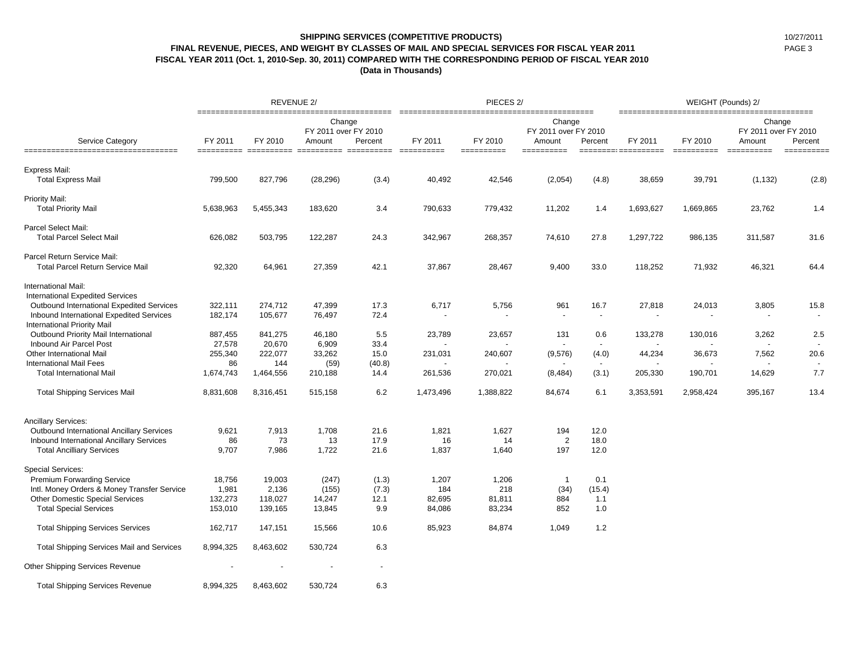## **SHIPPING SERVICES (COMPETITIVE PRODUCTS)** 10/27/2011 **FINAL REVENUE, PIECES, AND WEIGHT BY CLASSES OF MAIL AND SPECIAL SERVICES FOR FISCAL YEAR 2011** PAGE 3 **FISCAL YEAR 2011 (Oct. 1, 2010-Sep. 30, 2011) COMPARED WITH THE CORRESPONDING PERIOD OF FISCAL YEAR 2010**

**(Data in Thousands)**

| <b>Service Category</b><br>=====================================           |           | REVENUE 2/<br>PIECES <sub>2</sub> /<br>________________________________<br>--------------------------- |                                          |         |                       |                       |                                                        |                          | WEIGHT (Pounds) 2/             |                       |                                                        |                       |
|----------------------------------------------------------------------------|-----------|--------------------------------------------------------------------------------------------------------|------------------------------------------|---------|-----------------------|-----------------------|--------------------------------------------------------|--------------------------|--------------------------------|-----------------------|--------------------------------------------------------|-----------------------|
|                                                                            | FY 2011   | FY 2010                                                                                                | Change<br>FY 2011 over FY 2010<br>Amount | Percent | FY 2011<br>========== | FY 2010<br>========== | Change<br>FY 2011 over FY 2010<br>Amount<br>========== | Percent                  | FY 2011<br>=================== | FY 2010<br>========== | Change<br>FY 2011 over FY 2010<br>Amount<br>========== | Percent<br>========== |
| Express Mail:                                                              |           |                                                                                                        |                                          |         |                       |                       |                                                        |                          |                                |                       |                                                        |                       |
| <b>Total Express Mail</b>                                                  | 799,500   | 827,796                                                                                                | (28, 296)                                | (3.4)   | 40,492                | 42,546                | (2,054)                                                | (4.8)                    | 38,659                         | 39,791                | (1, 132)                                               | (2.8)                 |
| Priority Mail:                                                             |           |                                                                                                        |                                          |         |                       |                       |                                                        |                          |                                |                       |                                                        |                       |
| <b>Total Priority Mail</b>                                                 | 5,638,963 | 5,455,343                                                                                              | 183,620                                  | 3.4     | 790,633               | 779,432               | 11,202                                                 | 1.4                      | 1,693,627                      | 1,669,865             | 23,762                                                 | 1.4                   |
| Parcel Select Mail:                                                        |           |                                                                                                        |                                          |         |                       |                       |                                                        |                          |                                |                       |                                                        |                       |
| <b>Total Parcel Select Mail</b>                                            | 626,082   | 503,795                                                                                                | 122,287                                  | 24.3    | 342,967               | 268,357               | 74,610                                                 | 27.8                     | 1,297,722                      | 986,135               | 311,587                                                | 31.6                  |
| Parcel Return Service Mail:                                                |           |                                                                                                        |                                          |         |                       |                       |                                                        |                          |                                |                       |                                                        |                       |
| <b>Total Parcel Return Service Mail</b>                                    | 92,320    | 64,961                                                                                                 | 27,359                                   | 42.1    | 37,867                | 28,467                | 9,400                                                  | 33.0                     | 118,252                        | 71,932                | 46,321                                                 | 64.4                  |
| International Mail:                                                        |           |                                                                                                        |                                          |         |                       |                       |                                                        |                          |                                |                       |                                                        |                       |
| <b>International Expedited Services</b>                                    |           |                                                                                                        |                                          |         |                       |                       |                                                        |                          |                                |                       |                                                        |                       |
| Outbound International Expedited Services                                  | 322,111   | 274,712                                                                                                | 47,399                                   | 17.3    | 6,717                 | 5,756                 | 961                                                    | 16.7                     | 27,818                         | 24,013                | 3,805                                                  | 15.8                  |
| Inbound International Expedited Services                                   | 182,174   | 105,677                                                                                                | 76,497                                   | 72.4    |                       |                       | $\overline{\phantom{a}}$                               | $\overline{\phantom{a}}$ |                                |                       |                                                        |                       |
| <b>International Priority Mail</b><br>Outbound Priority Mail International | 887,455   | 841,275                                                                                                | 46,180                                   | 5.5     | 23,789                | 23,657                | 131                                                    | 0.6                      | 133,278                        | 130,016               | 3,262                                                  | 2.5                   |
| Inbound Air Parcel Post                                                    | 27,578    | 20,670                                                                                                 | 6,909                                    | 33.4    |                       |                       |                                                        | $\overline{a}$           |                                |                       |                                                        |                       |
| Other International Mail                                                   | 255,340   | 222,077                                                                                                | 33,262                                   | 15.0    | 231,031               | 240,607               | (9,576)                                                | (4.0)                    | 44,234                         | 36,673                | 7,562                                                  | 20.6                  |
| <b>International Mail Fees</b>                                             | 86        | 144                                                                                                    | (59)                                     | (40.8)  |                       |                       |                                                        |                          |                                |                       |                                                        |                       |
| <b>Total International Mail</b>                                            | 1,674,743 | 1,464,556                                                                                              | 210,188                                  | 14.4    | 261,536               | 270,021               | (8, 484)                                               | (3.1)                    | 205,330                        | 190,701               | 14,629                                                 | 7.7                   |
| <b>Total Shipping Services Mail</b>                                        | 8,831,608 | 8,316,451                                                                                              | 515,158                                  | 6.2     | 1,473,496             | 1,388,822             | 84,674                                                 | 6.1                      | 3,353,591                      | 2,958,424             | 395,167                                                | 13.4                  |
| <b>Ancillary Services:</b>                                                 |           |                                                                                                        |                                          |         |                       |                       |                                                        |                          |                                |                       |                                                        |                       |
| Outbound International Ancillary Services                                  | 9,621     | 7,913                                                                                                  | 1,708                                    | 21.6    | 1,821                 | 1,627                 | 194                                                    | 12.0                     |                                |                       |                                                        |                       |
| Inbound International Ancillary Services                                   | 86        | 73                                                                                                     | 13                                       | 17.9    | 16                    | 14                    | $\overline{2}$                                         | 18.0                     |                                |                       |                                                        |                       |
| <b>Total Ancilliary Services</b>                                           | 9,707     | 7,986                                                                                                  | 1,722                                    | 21.6    | 1,837                 | 1,640                 | 197                                                    | 12.0                     |                                |                       |                                                        |                       |
| <b>Special Services:</b>                                                   |           |                                                                                                        |                                          |         |                       |                       |                                                        |                          |                                |                       |                                                        |                       |
| <b>Premium Forwarding Service</b>                                          | 18,756    | 19,003                                                                                                 | (247)                                    | (1.3)   | 1,207                 | 1,206                 | $\overline{1}$                                         | 0.1                      |                                |                       |                                                        |                       |
| Intl. Money Orders & Money Transfer Service                                | 1,981     | 2,136                                                                                                  | (155)                                    | (7.3)   | 184                   | 218                   | (34)                                                   | (15.4)                   |                                |                       |                                                        |                       |
| <b>Other Domestic Special Services</b>                                     | 132,273   | 118,027                                                                                                | 14,247                                   | 12.1    | 82,695                | 81,811                | 884                                                    | 1.1                      |                                |                       |                                                        |                       |
| <b>Total Special Services</b>                                              | 153,010   | 139,165                                                                                                | 13,845                                   | 9.9     | 84,086                | 83,234                | 852                                                    | 1.0                      |                                |                       |                                                        |                       |
| <b>Total Shipping Services Services</b>                                    | 162,717   | 147,151                                                                                                | 15,566                                   | 10.6    | 85,923                | 84,874                | 1,049                                                  | 1.2                      |                                |                       |                                                        |                       |
| <b>Total Shipping Services Mail and Services</b>                           | 8,994,325 | 8,463,602                                                                                              | 530,724                                  | 6.3     |                       |                       |                                                        |                          |                                |                       |                                                        |                       |
| <b>Other Shipping Services Revenue</b>                                     |           |                                                                                                        |                                          |         |                       |                       |                                                        |                          |                                |                       |                                                        |                       |
| <b>Total Shipping Services Revenue</b>                                     | 8,994,325 | 8,463,602                                                                                              | 530,724                                  | 6.3     |                       |                       |                                                        |                          |                                |                       |                                                        |                       |